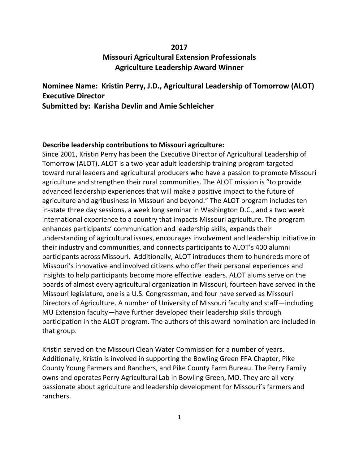## **2017 Missouri Agricultural Extension Professionals Agriculture Leadership Award Winner**

**Nominee Name: Kristin Perry, J.D., Agricultural Leadership of Tomorrow (ALOT) Executive Director Submitted by: Karisha Devlin and Amie Schleicher** 

## **Describe leadership contributions to Missouri agriculture:**

Since 2001, Kristin Perry has been the Executive Director of Agricultural Leadership of Tomorrow (ALOT). ALOT is a two-year adult leadership training program targeted toward rural leaders and agricultural producers who have a passion to promote Missouri agriculture and strengthen their rural communities. The ALOT mission is "to provide advanced leadership experiences that will make a positive impact to the future of agriculture and agribusiness in Missouri and beyond." The ALOT program includes ten in-state three day sessions, a week long seminar in Washington D.C., and a two week international experience to a country that impacts Missouri agriculture. The program enhances participants' communication and leadership skills, expands their understanding of agricultural issues, encourages involvement and leadership initiative in their industry and communities, and connects participants to ALOT's 400 alumni participants across Missouri. Additionally, ALOT introduces them to hundreds more of Missouri's innovative and involved citizens who offer their personal experiences and insights to help participants become more effective leaders. ALOT alums serve on the boards of almost every agricultural organization in Missouri, fourteen have served in the Missouri legislature, one is a U.S. Congressman, and four have served as Missouri Directors of Agriculture. A number of University of Missouri faculty and staff—including MU Extension faculty—have further developed their leadership skills through participation in the ALOT program. The authors of this award nomination are included in that group.

Kristin served on the Missouri Clean Water Commission for a number of years. Additionally, Kristin is involved in supporting the Bowling Green FFA Chapter, Pike County Young Farmers and Ranchers, and Pike County Farm Bureau. The Perry Family owns and operates Perry Agricultural Lab in Bowling Green, MO. They are all very passionate about agriculture and leadership development for Missouri's farmers and ranchers.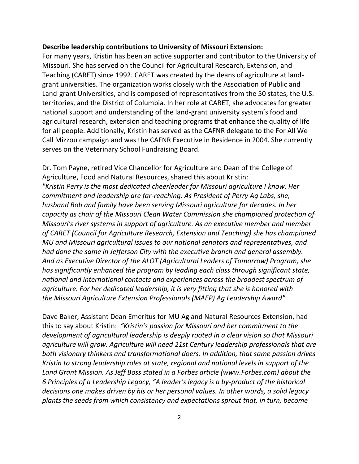## **Describe leadership contributions to University of Missouri Extension:**

For many years, Kristin has been an active supporter and contributor to the University of Missouri. She has served on the Council for Agricultural Research, Extension, and Teaching (CARET) since 1992. CARET was created by the deans of agriculture at landgrant universities. The organization works closely with the Association of Public and Land-grant Universities, and is composed of representatives from the 50 states, the U.S. territories, and the District of Columbia. In her role at CARET, she advocates for greater national support and understanding of the land-grant university system's food and agricultural research, extension and teaching programs that enhance the quality of life for all people. Additionally, Kristin has served as the CAFNR delegate to the For All We Call Mizzou campaign and was the CAFNR Executive in Residence in 2004. She currently serves on the Veterinary School Fundraising Board.

Dr. Tom Payne, retired Vice Chancellor for Agriculture and Dean of the College of Agriculture, Food and Natural Resources, shared this about Kristin: *"Kristin Perry is the most dedicated cheerleader for Missouri agriculture I know. Her commitment and leadership are far-reaching. As President of Perry Ag Labs, she, husband Bob and family have been serving Missouri agriculture for decades. In her capacity as chair of the Missouri Clean Water Commission she championed protection of Missouri's river systems in support of agriculture. As an executive member and member of CARET (Council for Agriculture Research, Extension and Teaching) she has championed MU and Missouri agricultural issues to our national senators and representatives, and had done the same in Jefferson City with the executive branch and general assembly. And as Executive Director of the ALOT (Agricultural Leaders of Tomorrow) Program, she has significantly enhanced the program by leading each class through significant state, national and international contacts and experiences across the broadest spectrum of agriculture. For her dedicated leadership, it is very fitting that she is honored with the Missouri Agriculture Extension Professionals (MAEP) Ag Leadership Award"*

Dave Baker, Assistant Dean Emeritus for MU Ag and Natural Resources Extension, had this to say about Kristin: *"Kristin's passion for Missouri and her commitment to the development of agricultural leadership is deeply rooted in a clear vision so that Missouri agriculture will grow. Agriculture will need 21st Century leadership professionals that are both visionary thinkers and transformational doers. In addition, that same passion drives Kristin to strong leadership roles at state, regional and national levels in support of the Land Grant Mission. As Jeff Boss stated in a Forbes article (www.Forbes.com) about the 6 Principles of a Leadership Legacy, "A leader's legacy is a by-product of the historical decisions one makes driven by his or her personal values. In other words, a solid legacy plants the seeds from which consistency and expectations sprout that, in turn, become*